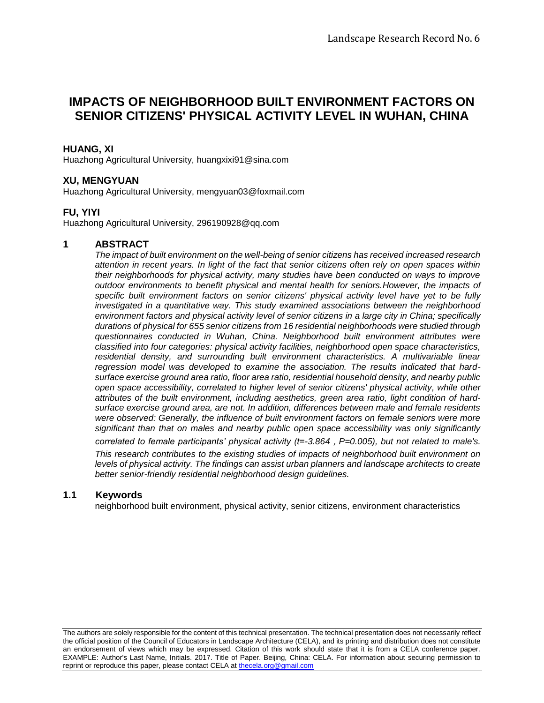# **IMPACTS OF NEIGHBORHOOD BUILT ENVIRONMENT FACTORS ON SENIOR CITIZENS' PHYSICAL ACTIVITY LEVEL IN WUHAN, CHINA**

# **HUANG, XI**

Huazhong Agricultural University, [huangxixi91@sina.com](mailto:huangxixi91@sina.com)

# **XU, MENGYUAN**

Huazhong Agricultural University, [mengyuan03@foxmail.com](mailto:mengyuan03@foxmail.com)

### **FU, YIYI**

Huazhong Agricultural University, [296190928@qq.com](mailto:296190928@qq.com)

### **1 ABSTRACT**

*The impact of built environment on the well-being of senior citizens has received increased research attention in recent years. In light of the fact that senior citizens often rely on open spaces within their neighborhoods for physical activity, many studies have been conducted on ways to improve outdoor environments to benefit physical and mental health for seniors.However, the impacts of specific built environment factors on senior citizens' physical activity level have yet to be fully investigated in a quantitative way. This study examined associations between the neighborhood environment factors and physical activity level of senior citizens in a large city in China; specifically durations of physical for 655 senior citizens from 16 residential neighborhoods were studied through questionnaires conducted in Wuhan, China. Neighborhood built environment attributes were classified into four categories: physical activity facilities, neighborhood open space characteristics, residential density, and surrounding built environment characteristics. A multivariable linear regression model was developed to examine the association. The results indicated that hardsurface exercise ground area ratio, floor area ratio, residential household density, and nearby public open space accessibility, correlated to higher level of senior citizens' physical activity, while other attributes of the built environment, including aesthetics, green area ratio, light condition of hardsurface exercise ground area, are not. In addition, differences between male and female residents were observed: Generally, the influence of built environment factors on female seniors were more significant than that on males and nearby public open space accessibility was only significantly* 

*correlated to female participants' physical activity (t=-3.864*,*P=0.005), but not related to male's. This research contributes to the existing studies of impacts of neighborhood built environment on levels of physical activity. The findings can assist urban planners and landscape architects to create better senior-friendly residential neighborhood design guidelines.*

#### **1.1 Keywords**

neighborhood built environment, physical activity, senior citizens, environment characteristics

The authors are solely responsible for the content of this technical presentation. The technical presentation does not necessarily reflect the official position of the Council of Educators in Landscape Architecture (CELA), and its printing and distribution does not constitute an endorsement of views which may be expressed. Citation of this work should state that it is from a CELA conference paper. EXAMPLE: Author's Last Name, Initials. 2017. Title of Paper. Beijing, China: CELA. For information about securing permission to reprint or reproduce this paper, please contact CELA at [thecela.org@gmail.com](mailto:thecela.org@gmail.com)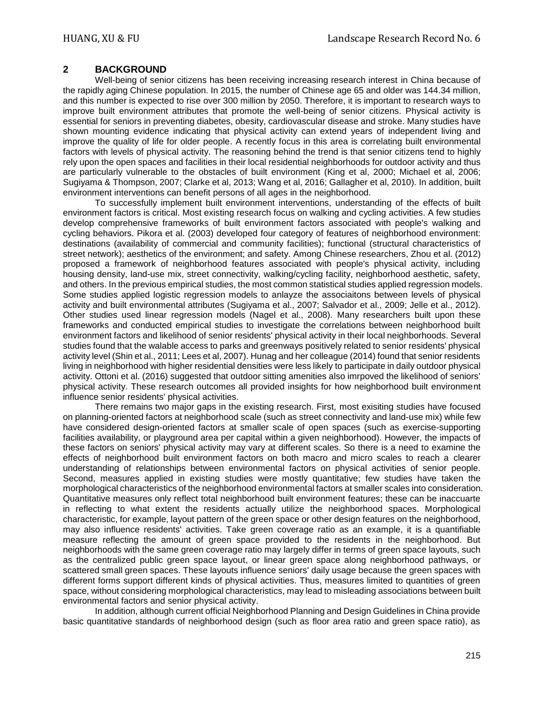# **2 BACKGROUND**

Well-being of senior citizens has been receiving increasing research interest in China because of the rapidly aging Chinese population. In 2015, the number of Chinese age 65 and older was 144.34 million, and this number is expected to rise over 300 million by 2050. Therefore, it is important to research ways to improve built environment attributes that promote the well-being of senior citizens. Physical activity is essential for seniors in preventing diabetes, obesity, cardiovascular disease and stroke. Many studies have shown mounting evidence indicating that physical activity can extend years of independent living and improve the quality of life for older people. A recently focus in this area is correlating built environmental factors with levels of physical activity. The reasoning behind the trend is that senior citizens tend to highly rely upon the open spaces and facilities in their local residential neighborhoods for outdoor activity and thus are particularly vulnerable to the obstacles of built environment (King et al, 2000; Michael et al, 2006; Sugiyama & Thompson, 2007; Clarke et al, 2013; Wang et al, 2016; Gallagher et al, 2010). In addition, built environment interventions can benefit persons of all ages in the neighborhood.

To successfully implement built environment interventions, understanding of the effects of built environment factors is critical. Most existing research focus on walking and cycling activities. A few studies develop comprehensive frameworks of built environment factors associated with people's walking and cycling behaviors. Pikora et al. (2003) developed four category of features of neighborhood environment: destinations (availability of commercial and community facilities); functional (structural characteristics of street network); aesthetics of the environment; and safety. Among Chinese researchers, Zhou et al. (2012) proposed a framework of neighborhood features associated with people's physical activity, including housing density, land-use mix, street connectivity, walking/cycling facility, neighborhood aesthetic, safety, and others. In the previous empirical studies, the most common statistical studies applied regression models. Some studies applied logistic regression models to anlayze the associaitons between levels of physical activity and built environmental attributes (Sugiyama et al., 2007; Salvador et al., 2009; Jelle et al., 2012). Other studies used linear regression models (Nagel et al., 2008). Many researchers built upon these frameworks and conducted empirical studies to investigate the correlations between neighborhood built environment factors and likelihood of senior residents' physical activity in their local neighborhoods. Several studies found that the walable access to parks and greenways positively related to senior residents' physical activity level (Shin et al., 2011; Lees et al, 2007). Hunag and her colleague (2014) found that senior residents living in neighborhood with higher residential densities were less likely to participate in daily outdoor physical activity. Ottoni et al. (2016) suggested that outdoor sitting amenities also imrpoved the likelihood of seniors' physical activity. These research outcomes all provided insights for how neighborhood built environment influence senior residents' physical activities.

There remains two major gaps in the existing research. First, most exisiting studies have focused on planning-oriented factors at neighborhood scale (such as street connectivity and land-use mix) while few have considered design-oriented factors at smaller scale of open spaces (such as exercise-supporting facilities availability, or playground area per capital within a given neighborhood). However, the impacts of these factors on seniors' physical activity may vary at different scales. So there is a need to examine the effects of neighborhood built environment factors on both macro and micro scales to reach a clearer understanding of relationships between environmental factors on physical activities of senior people. Second, measures applied in existing studies were mostly quantitative; few studies have taken the morphological characteristics of the neighborhood environmental factors at smaller scales into consideration. Quantitative measures only reflect total neighborhood built environment features; these can be inaccuarte in reflecting to what extent the residents actually utilize the neighborhood spaces. Morphological characteristic, for example, layout pattern of the green space or other design features on the neighborhood, may also influence residents' activities. Take green coverage ratio as an example, it is a quantifiable measure reflecting the amount of green space provided to the residents in the neighborhood. But neighborhoods with the same green coverage ratio may largely differ in terms of green space layouts, such as the centralized public green space layout, or linear green space along neighborhood pathways, or scattered small green spaces. These layouts influence seniors' daily usage because the green spaces with different forms support different kinds of physical activities. Thus, measures limited to quantities of green space, without considering morphological characteristics, may lead to misleading associations between built environmental factors and senior physical activity.

In addition, although current official Neighborhood Planning and Design Guidelines in China provide basic quantitative standards of neighborhood design (such as floor area ratio and green space ratio), as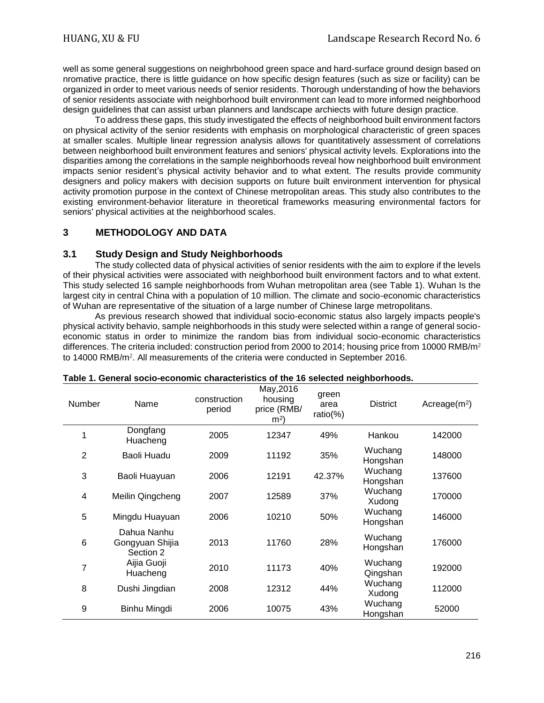well as some general suggestions on neighrbohood green space and hard-surface ground design based on nromative practice, there is little guidance on how specific design features (such as size or facility) can be organized in order to meet various needs of senior residents. Thorough understanding of how the behaviors of senior residents associate with neighborhood built environment can lead to more informed neighborhood design guidelines that can assist urban planners and landscape archiects with future design practice.

To address these gaps, this study investigated the effects of neighborhood built environment factors on physical activity of the senior residents with emphasis on morphological characteristic of green spaces at smaller scales. Multiple linear regression analysis allows for quantitatively assessment of correlations between neighborhood built environment features and seniors' physical activity levels. Explorations into the disparities among the correlations in the sample neighborhoods reveal how neighborhood built environment impacts senior resident's physical activity behavior and to what extent. The results provide community designers and policy makers with decision supports on future built environment intervention for physical activity promotion purpose in the context of Chinese metropolitan areas. This study also contributes to the existing environment-behavior literature in theoretical frameworks measuring environmental factors for seniors' physical activities at the neighborhood scales.

# **3 METHODOLOGY AND DATA**

### **3.1 Study Design and Study Neighborhoods**

The study collected data of physical activities of senior residents with the aim to explore if the levels of their physical activities were associated with neighborhood built environment factors and to what extent. This study selected 16 sample neighborhoods from Wuhan metropolitan area (see Table 1). Wuhan Is the largest city in central China with a population of 10 million. The climate and socio-economic characteristics of Wuhan are representative of the situation of a large number of Chinese large metropolitans.

As previous research showed that individual socio-economic status also largely impacts people's physical activity behavio, sample neighborhoods in this study were selected within a range of general socioeconomic status in order to minimize the random bias from individual socio-economic characteristics differences. The criteria included: construction period from 2000 to 2014; housing price from 10000 RMB/m<sup>2</sup> to 14000 RMB/m². All measurements of the criteria were conducted in September 2016.

| <b>Number</b>  | Name                                        | construction<br>period | May, 2016<br>housing<br>price (RMB/<br>m <sup>2</sup> | green<br>area<br>$ratio(\%)$ | <b>District</b>     | Acreage $(m2)$ |
|----------------|---------------------------------------------|------------------------|-------------------------------------------------------|------------------------------|---------------------|----------------|
|                | Dongfang<br>Huacheng                        | 2005                   | 12347                                                 | 49%                          | Hankou              | 142000         |
| $\overline{2}$ | Baoli Huadu                                 | 2009                   | 11192                                                 | 35%                          | Wuchang<br>Hongshan | 148000         |
| 3              | Baoli Huayuan                               | 2006                   | 12191                                                 | 42.37%                       | Wuchang<br>Hongshan | 137600         |
| 4              | Meilin Qingcheng                            | 2007                   | 12589                                                 | 37%                          | Wuchang<br>Xudong   | 170000         |
| 5              | Mingdu Huayuan                              | 2006                   | 10210                                                 | 50%                          | Wuchang<br>Hongshan | 146000         |
| 6              | Dahua Nanhu<br>Gongyuan Shijia<br>Section 2 | 2013                   | 11760                                                 | 28%                          | Wuchang<br>Hongshan | 176000         |
| 7              | Aijia Guoji<br>Huacheng                     | 2010                   | 11173                                                 | 40%                          | Wuchang<br>Qingshan | 192000         |
| 8              | Dushi Jingdian                              | 2008                   | 12312                                                 | 44%                          | Wuchang<br>Xudong   | 112000         |
| 9              | Binhu Mingdi                                | 2006                   | 10075                                                 | 43%                          | Wuchang<br>Hongshan | 52000          |

#### **Table 1. General socio-economic characteristics of the 16 selected neighborhoods.**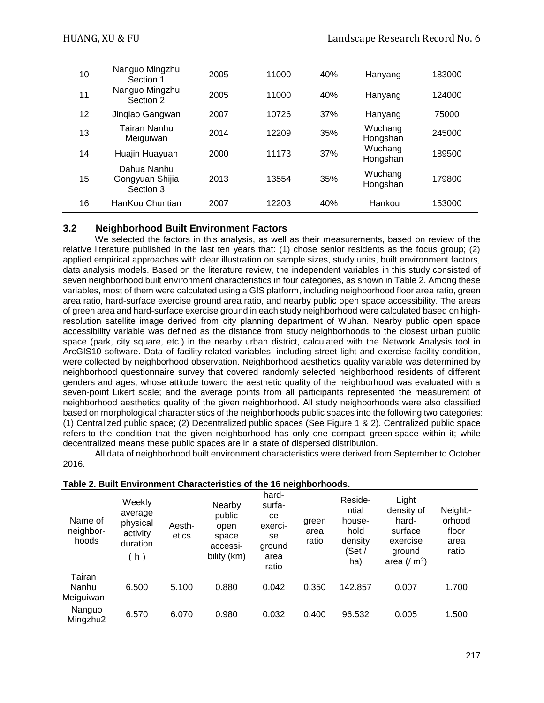| 10 | Nanguo Mingzhu<br>Section 1                 | 2005 | 11000 | 40% | Hanyang             | 183000 |
|----|---------------------------------------------|------|-------|-----|---------------------|--------|
| 11 | Nanguo Mingzhu<br>Section 2                 | 2005 | 11000 | 40% | Hanyang             | 124000 |
| 12 | Jingiao Gangwan                             | 2007 | 10726 | 37% | Hanyang             | 75000  |
| 13 | Tairan Nanhu<br>Meiguiwan                   | 2014 | 12209 | 35% | Wuchang<br>Hongshan | 245000 |
| 14 | Huajin Huayuan                              | 2000 | 11173 | 37% | Wuchang<br>Hongshan | 189500 |
| 15 | Dahua Nanhu<br>Gongyuan Shijia<br>Section 3 | 2013 | 13554 | 35% | Wuchang<br>Hongshan | 179800 |
| 16 | HanKou Chuntian                             | 2007 | 12203 | 40% | Hankou              | 153000 |

# **3.2 Neighborhood Built Environment Factors**

We selected the factors in this analysis, as well as their measurements, based on review of the relative literature published in the last ten years that: (1) chose senior residents as the focus group; (2) applied empirical approaches with clear illustration on sample sizes, study units, built environment factors, data analysis models. Based on the literature review, the independent variables in this study consisted of seven neighborhood built environment characteristics in four categories, as shown in Table 2. Among these variables, most of them were calculated using a GIS platform, including neighborhood floor area ratio, green area ratio, hard-surface exercise ground area ratio, and nearby public open space accessibility. The areas of green area and hard-surface exercise ground in each study neighborhood were calculated based on highresolution satellite image derived from city planning department of Wuhan. Nearby public open space accessibility variable was defined as the distance from study neighborhoods to the closest urban public space (park, city square, etc.) in the nearby urban district, calculated with the Network Analysis tool in ArcGIS10 software. Data of facility-related variables, including street light and exercise facility condition, were collected by neighborhood observation. Neighborhood aesthetics quality variable was determined by neighborhood questionnaire survey that covered randomly selected neighborhood residents of different genders and ages, whose attitude toward the aesthetic quality of the neighborhood was evaluated with a seven-point Likert scale; and the average points from all participants represented the measurement of neighborhood aesthetics quality of the given neighborhood. All study neighborhoods were also classified based on morphological characteristics of the neighborhoods public spaces into the following two categories: (1) Centralized public space; (2) Decentralized public spaces (See Figure 1 & 2). Centralized public space refers to the condition that the given neighborhood has only one compact green space within it; while decentralized means these public spaces are in a state of dispersed distribution.

All data of neighborhood built environment characteristics were derived from September to October 2016.

| Name of<br>neighbor-<br>hoods | Weekly<br>average<br>physical<br>activity<br>duration<br>(h) | Aesth-<br>etics | Nearby<br>public<br>open<br>space<br>accessi-<br>bility (km) | hard-<br>surfa-<br>ce<br>exerci-<br>se<br>ground<br>area<br>ratio | green<br>area<br>ratio | Reside-<br>ntial<br>house-<br>hold<br>density<br>(Set /<br>ha) | Light<br>density of<br>hard-<br>surface<br>exercise<br>ground<br>area $\left(\frac{1}{2} m^2\right)$ | Neighb-<br>orhood<br>floor<br>area<br>ratio |
|-------------------------------|--------------------------------------------------------------|-----------------|--------------------------------------------------------------|-------------------------------------------------------------------|------------------------|----------------------------------------------------------------|------------------------------------------------------------------------------------------------------|---------------------------------------------|
| Tairan<br>Nanhu<br>Meiguiwan  | 6.500                                                        | 5.100           | 0.880                                                        | 0.042                                                             | 0.350                  | 142.857                                                        | 0.007                                                                                                | 1.700                                       |
| Nanguo<br>Mingzhu2            | 6.570                                                        | 6.070           | 0.980                                                        | 0.032                                                             | 0.400                  | 96.532                                                         | 0.005                                                                                                | 1.500                                       |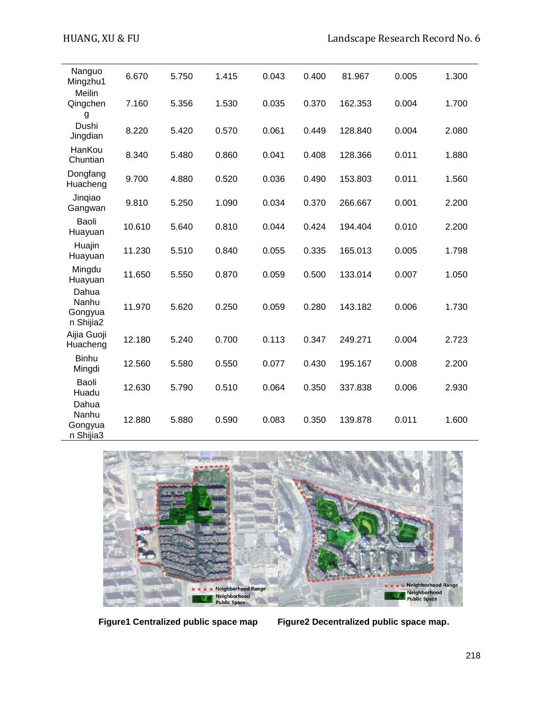| Nanguo<br>Mingzhu1                     | 6.670  | 5.750 | 1.415 | 0.043 | 0.400 | 81.967  | 0.005 | 1.300 |
|----------------------------------------|--------|-------|-------|-------|-------|---------|-------|-------|
| Meilin<br>Qingchen<br>g                | 7.160  | 5.356 | 1.530 | 0.035 | 0.370 | 162.353 | 0.004 | 1.700 |
| Dushi<br>Jingdian                      | 8.220  | 5.420 | 0.570 | 0.061 | 0.449 | 128.840 | 0.004 | 2.080 |
| HanKou<br>Chuntian                     | 8.340  | 5.480 | 0.860 | 0.041 | 0.408 | 128.366 | 0.011 | 1.880 |
| Dongfang<br>Huacheng                   | 9.700  | 4.880 | 0.520 | 0.036 | 0.490 | 153.803 | 0.011 | 1.560 |
| Jingiao<br>Gangwan                     | 9.810  | 5.250 | 1.090 | 0.034 | 0.370 | 266.667 | 0.001 | 2.200 |
| Baoli<br>Huayuan                       | 10.610 | 5.640 | 0.810 | 0.044 | 0.424 | 194.404 | 0.010 | 2.200 |
| Huajin<br>Huayuan                      | 11.230 | 5.510 | 0.840 | 0.055 | 0.335 | 165.013 | 0.005 | 1.798 |
| Mingdu<br>Huayuan                      | 11.650 | 5.550 | 0.870 | 0.059 | 0.500 | 133.014 | 0.007 | 1.050 |
| Dahua<br>Nanhu<br>Gongyua<br>n Shijia2 | 11.970 | 5.620 | 0.250 | 0.059 | 0.280 | 143.182 | 0.006 | 1.730 |
| Aijia Guoji<br>Huacheng                | 12.180 | 5.240 | 0.700 | 0.113 | 0.347 | 249.271 | 0.004 | 2.723 |
| <b>Binhu</b><br>Mingdi                 | 12.560 | 5.580 | 0.550 | 0.077 | 0.430 | 195.167 | 0.008 | 2.200 |
| Baoli<br>Huadu                         | 12.630 | 5.790 | 0.510 | 0.064 | 0.350 | 337.838 | 0.006 | 2.930 |
| Dahua<br>Nanhu<br>Gongyua<br>n Shijia3 | 12.880 | 5.880 | 0.590 | 0.083 | 0.350 | 139.878 | 0.011 | 1.600 |



**Figure1 Centralized public space map Figure2 Decentralized public space map.**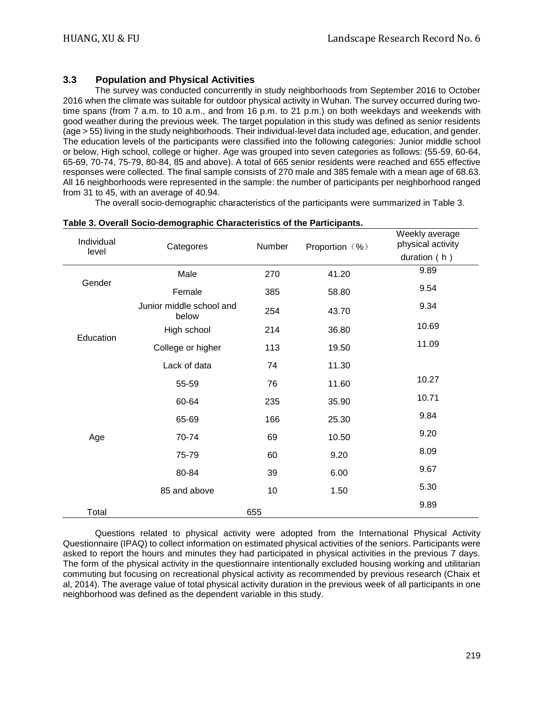# **3.3 Population and Physical Activities**

The survey was conducted concurrently in study neighborhoods from September 2016 to October 2016 when the climate was suitable for outdoor physical activity in Wuhan. The survey occurred during twotime spans (from 7 a.m. to 10 a.m., and from 16 p.m. to 21 p.m.) on both weekdays and weekends with good weather during the previous week. The target population in this study was defined as senior residents (age > 55) living in the study neighborhoods. Their individual-level data included age, education, and gender. The education levels of the participants were classified into the following categories: Junior middle school or below, High school, college or higher. Age was grouped into seven categories as follows: (55-59, 60-64, 65-69, 70-74, 75-79, 80-84, 85 and above). A total of 665 senior residents were reached and 655 effective responses were collected. The final sample consists of 270 male and 385 female with a mean age of 68.63. All 16 neighborhoods were represented in the sample: the number of participants per neighborhood ranged from 31 to 45, with an average of 40.94.

The overall socio-demographic characteristics of the participants were summarized in Table 3.

| Individual |                                                                                                                                                                   | Number | Proportion (%) | Weekly average<br>physical activity |
|------------|-------------------------------------------------------------------------------------------------------------------------------------------------------------------|--------|----------------|-------------------------------------|
| level      | Categores<br>Male<br>Female<br>Junior middle school and<br>below<br>High school<br>College or higher<br>Lack of data<br>55-59<br>60-64<br>65-69<br>70-74<br>75-79 |        |                | duration (h)                        |
|            |                                                                                                                                                                   | 270    | 41.20          | 9.89                                |
| Gender     |                                                                                                                                                                   | 385    | 58.80          | 9.54                                |
| Education  |                                                                                                                                                                   | 254    | 43.70          | 9.34                                |
|            |                                                                                                                                                                   | 214    | 36.80          | 10.69                               |
|            |                                                                                                                                                                   | 113    | 19.50          | 11.09                               |
|            |                                                                                                                                                                   | 74     | 11.30          |                                     |
|            |                                                                                                                                                                   | 76     | 11.60          | 10.27                               |
|            |                                                                                                                                                                   | 235    | 35.90          | 10.71                               |
|            |                                                                                                                                                                   | 166    | 25.30          | 9.84                                |
| Age        |                                                                                                                                                                   | 69     | 10.50          | 9.20                                |
|            |                                                                                                                                                                   | 60     | 9.20           | 8.09                                |
|            | 80-84                                                                                                                                                             | 39     | 6.00           | 9.67                                |
|            | 85 and above                                                                                                                                                      | 10     | 1.50           | 5.30                                |
| Total      |                                                                                                                                                                   | 655    |                | 9.89                                |

#### **Table 3. Overall Socio-demographic Characteristics of the Participants.**

Questions related to physical activity were adopted from the International Physical Activity Questionnaire (IPAQ) to collect information on estimated physical activities of the seniors. Participants were asked to report the hours and minutes they had participated in physical activities in the previous 7 days. The form of the physical activity in the questionnaire intentionally excluded housing working and utilitarian commuting but focusing on recreational physical activity as recommended by previous research (Chaix et al, 2014). The average value of total physical activity duration in the previous week of all participants in one neighborhood was defined as the dependent variable in this study.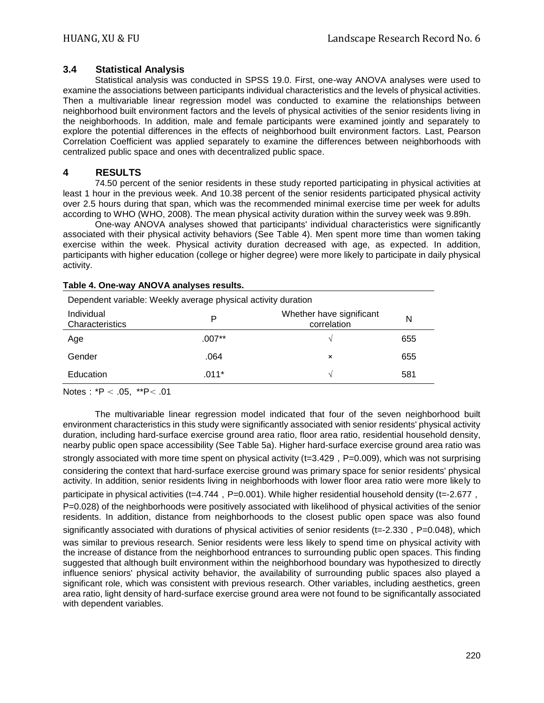### **3.4 Statistical Analysis**

Statistical analysis was conducted in SPSS 19.0. First, one-way ANOVA analyses were used to examine the associations between participants individual characteristics and the levels of physical activities. Then a multivariable linear regression model was conducted to examine the relationships between neighborhood built environment factors and the levels of physical activities of the senior residents living in the neighborhoods. In addition, male and female participants were examined jointly and separately to explore the potential differences in the effects of neighborhood built environment factors. Last, Pearson Correlation Coefficient was applied separately to examine the differences between neighborhoods with centralized public space and ones with decentralized public space.

# **4 RESULTS**

74.50 percent of the senior residents in these study reported participating in physical activities at least 1 hour in the previous week. And 10.38 percent of the senior residents participated physical activity over 2.5 hours during that span, which was the recommended minimal exercise time per week for adults according to WHO (WHO, 2008). The mean physical activity duration within the survey week was 9.89h.

One-way ANOVA analyses showed that participants' individual characteristics were significantly associated with their physical activity behaviors (See Table 4). Men spent more time than women taking exercise within the week. Physical activity duration decreased with age, as expected. In addition, participants with higher education (college or higher degree) were more likely to participate in daily physical activity.

| Dependent variable: Weekly average physical activity duration |          |                                         |     |  |  |  |
|---------------------------------------------------------------|----------|-----------------------------------------|-----|--|--|--|
| Individual<br>Characteristics                                 | P        | Whether have significant<br>correlation | N   |  |  |  |
| Age                                                           | $.007**$ | N                                       | 655 |  |  |  |
| Gender                                                        | .064     | ×                                       | 655 |  |  |  |
| Education                                                     | $.011*$  | N                                       | 581 |  |  |  |

#### **Table 4. One-way ANOVA analyses results.**

Notes:\*P < .05, \*\*P< .01

The multivariable linear regression model indicated that four of the seven neighborhood built environment characteristics in this study were significantly associated with senior residents' physical activity duration, including hard-surface exercise ground area ratio, floor area ratio, residential household density, nearby public open space accessibility (See Table 5a). Higher hard-surface exercise ground area ratio was strongly associated with more time spent on physical activity ( $t=3.429$ ,  $P=0.009$ ), which was not surprising considering the context that hard-surface exercise ground was primary space for senior residents' physical activity. In addition, senior residents living in neighborhoods with lower floor area ratio were more likely to participate in physical activities (t=4.744,  $P=0.001$ ). While higher residential household density (t=-2.677, P=0.028) of the neighborhoods were positively associated with likelihood of physical activities of the senior residents. In addition, distance from neighborhoods to the closest public open space was also found significantly associated with durations of physical activities of senior residents ( $t=-2.330$ ,  $P=0.048$ ), which was similar to previous research. Senior residents were less likely to spend time on physical activity with the increase of distance from the neighborhood entrances to surrounding public open spaces. This finding suggested that although built environment within the neighborhood boundary was hypothesized to directly influence seniors' physical activity behavior, the availability of surrounding public spaces also played a significant role, which was consistent with previous research. Other variables, including aesthetics, green area ratio, light density of hard-surface exercise ground area were not found to be significantally associated with dependent variables.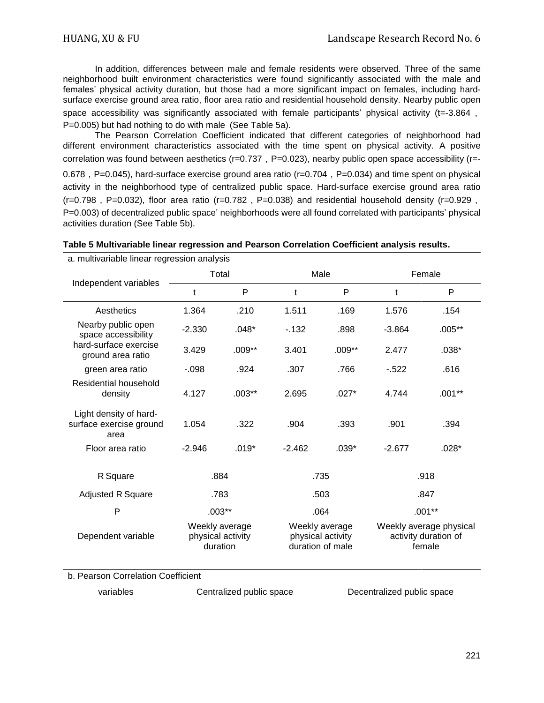In addition, differences between male and female residents were observed. Three of the same neighborhood built environment characteristics were found significantly associated with the male and females' physical activity duration, but those had a more significant impact on females, including hardsurface exercise ground area ratio, floor area ratio and residential household density. Nearby public open space accessibility was significantly associated with female participants' physical activity (t=-3.864, P=0.005) but had nothing to do with male (See Table 5a).

The Pearson Correlation Coefficient indicated that different categories of neighborhood had different environment characteristics associated with the time spent on physical activity. A positive correlation was found between aesthetics ( $r=0.737$ ,  $P=0.023$ ), nearby public open space accessibility ( $r=-$ 0.678, P=0.045), hard-surface exercise ground area ratio (r=0.704, P=0.034) and time spent on physical activity in the neighborhood type of centralized public space. Hard-surface exercise ground area ratio  $(r=0.798, P=0.032)$ , floor area ratio (r=0.782, P=0.038) and residential household density (r=0.929, P=0.003) of decentralized public space' neighborhoods were all found correlated with participants' physical activities duration (See Table 5b).

| a. multivariable linear regression analysis               |          |                                                 |                                                         |          |                                                           |          |  |
|-----------------------------------------------------------|----------|-------------------------------------------------|---------------------------------------------------------|----------|-----------------------------------------------------------|----------|--|
|                                                           |          | Total                                           | Male                                                    |          | Female                                                    |          |  |
| Independent variables                                     | t        | P                                               | t                                                       | P        | t                                                         | P        |  |
| Aesthetics                                                | 1.364    | .210                                            | 1.511                                                   | .169     | 1.576                                                     | .154     |  |
| Nearby public open<br>space accessibility                 | $-2.330$ | $.048*$                                         | $-132$                                                  | .898     | $-3.864$                                                  | $.005**$ |  |
| hard-surface exercise<br>ground area ratio                | 3.429    | $.009**$                                        | 3.401                                                   | $.009**$ | 2.477                                                     | $.038*$  |  |
| green area ratio                                          | $-.098$  | .924                                            | .307                                                    | .766     | $-522$                                                    | .616     |  |
| Residential household<br>density                          | 4.127    | $.003***$                                       | 2.695                                                   | $.027*$  | 4.744                                                     | $.001**$ |  |
| Light density of hard-<br>surface exercise ground<br>area | 1.054    | .322                                            | .904                                                    | .393     | .901                                                      | .394     |  |
| Floor area ratio                                          | $-2.946$ | $.019*$                                         | $-2.462$                                                | $.039*$  | $-2.677$                                                  | $.028*$  |  |
| R Square                                                  |          | .884                                            | .735                                                    |          | .918                                                      |          |  |
| <b>Adjusted R Square</b>                                  |          | .783                                            | .503                                                    |          | .847                                                      |          |  |
| P                                                         |          | $.003**$                                        | .064                                                    |          | $.001**$                                                  |          |  |
| Dependent variable                                        |          | Weekly average<br>physical activity<br>duration | Weekly average<br>physical activity<br>duration of male |          | Weekly average physical<br>activity duration of<br>female |          |  |
| b. Pearson Correlation Coefficient                        |          |                                                 |                                                         |          |                                                           |          |  |
| variables                                                 |          | Centralized public space                        |                                                         |          | Decentralized public space                                |          |  |

| Table 5 Multivariable linear regression and Pearson Correlation Coefficient analysis results. |  |  |  |  |  |  |
|-----------------------------------------------------------------------------------------------|--|--|--|--|--|--|
|-----------------------------------------------------------------------------------------------|--|--|--|--|--|--|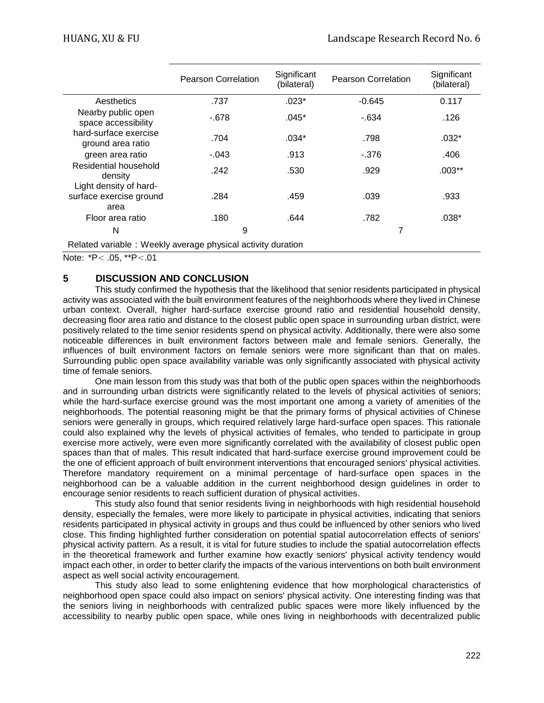|                                                             | <b>Pearson Correlation</b> | Significant<br>(bilateral) | <b>Pearson Correlation</b> | Significant<br>(bilateral) |  |  |  |
|-------------------------------------------------------------|----------------------------|----------------------------|----------------------------|----------------------------|--|--|--|
| Aesthetics                                                  | .737                       | $.023*$                    | $-0.645$                   | 0.117                      |  |  |  |
| Nearby public open<br>space accessibility                   | $-678$                     | $.045*$                    | $-634$                     | .126                       |  |  |  |
| hard-surface exercise<br>ground area ratio                  | .704                       | $.034*$                    | .798                       | $.032*$                    |  |  |  |
| green area ratio                                            | $-.043$                    | .913                       | -.376                      | .406                       |  |  |  |
| Residential household<br>density                            | .242                       | .530                       | .929                       | $.003**$                   |  |  |  |
| Light density of hard-                                      |                            |                            |                            |                            |  |  |  |
| surface exercise ground<br>area                             | .284                       | .459                       | .039                       | .933                       |  |  |  |
| Floor area ratio                                            | .180                       | .644                       | .782                       | $.038*$                    |  |  |  |
| N                                                           | 9                          |                            | 7                          |                            |  |  |  |
| Related variable: Weekly average physical activity duration |                            |                            |                            |                            |  |  |  |

Note: \*P< .05, \*\*P<.01

# **5 DISCUSSION AND CONCLUSION**

This study confirmed the hypothesis that the likelihood that senior residents participated in physical activity was associated with the built environment features of the neighborhoods where they lived in Chinese urban context. Overall, higher hard-surface exercise ground ratio and residential household density, decreasing floor area ratio and distance to the closest public open space in surrounding urban district, were positively related to the time senior residents spend on physical activity. Additionally, there were also some noticeable differences in built environment factors between male and female seniors. Generally, the influences of built environment factors on female seniors were more significant than that on males. Surrounding public open space availability variable was only significantly associated with physical activity time of female seniors.

One main lesson from this study was that both of the public open spaces within the neighborhoods and in surrounding urban districts were significantly related to the levels of physical activities of seniors; while the hard-surface exercise ground was the most important one among a variety of amenities of the neighborhoods. The potential reasoning might be that the primary forms of physical activities of Chinese seniors were generally in groups, which required relatively large hard-surface open spaces. This rationale could also explained why the levels of physical activities of females, who tended to participate in group exercise more actively, were even more significantly correlated with the availability of closest public open spaces than that of males. This result indicated that hard-surface exercise ground improvement could be the one of efficient approach of built environment interventions that encouraged seniors' physical activities. Therefore mandatory requirement on a minimal percentage of hard-surface open spaces in the neighborhood can be a valuable addition in the current neighborhood design guidelines in order to encourage senior residents to reach sufficient duration of physical activities.

This study also found that senior residents living in neighborhoods with high residential household density, especially the females, were more likely to participate in physical activities, indicating that seniors residents participated in physical activity in groups and thus could be influenced by other seniors who lived close. This finding highlighted further consideration on potential spatial autocorrelation effects of seniors' physical activity pattern. As a result, it is vital for future studies to include the spatial autocorrelation effects in the theoretical framework and further examine how exactly seniors' physical activity tendency would impact each other, in order to better clarify the impacts of the various interventions on both built environment aspect as well social activity encouragement.

This study also lead to some enlightening evidence that how morphological characteristics of neighborhood open space could also impact on seniors' physical activity. One interesting finding was that the seniors living in neighborhoods with centralized public spaces were more likely influenced by the accessibility to nearby public open space, while ones living in neighborhoods with decentralized public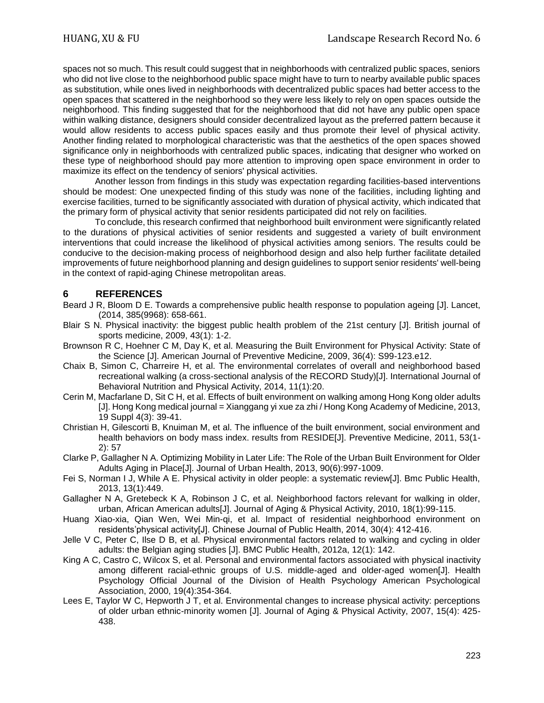spaces not so much. This result could suggest that in neighborhoods with centralized public spaces, seniors who did not live close to the neighborhood public space might have to turn to nearby available public spaces as substitution, while ones lived in neighborhoods with decentralized public spaces had better access to the open spaces that scattered in the neighborhood so they were less likely to rely on open spaces outside the neighborhood. This finding suggested that for the neighborhood that did not have any public open space within walking distance, designers should consider decentralized layout as the preferred pattern because it would allow residents to access public spaces easily and thus promote their level of physical activity. Another finding related to morphological characteristic was that the aesthetics of the open spaces showed significance only in neighborhoods with centralized public spaces, indicating that designer who worked on these type of neighborhood should pay more attention to improving open space environment in order to maximize its effect on the tendency of seniors' physical activities.

Another lesson from findings in this study was expectation regarding facilities-based interventions should be modest: One unexpected finding of this study was none of the facilities, including lighting and exercise facilities, turned to be significantly associated with duration of physical activity, which indicated that the primary form of physical activity that senior residents participated did not rely on facilities.

To conclude, this research confirmed that neighborhood built environment were significantly related to the durations of physical activities of senior residents and suggested a variety of built environment interventions that could increase the likelihood of physical activities among seniors. The results could be conducive to the decision-making process of neighborhood design and also help further facilitate detailed improvements of future neighborhood planning and design guidelines to support senior residents' well-being in the context of rapid-aging Chinese metropolitan areas.

# **6 REFERENCES**

- Beard J R, Bloom D E. Towards a comprehensive public health response to population ageing [J]. Lancet, (2014, 385(9968): 658-661.
- Blair S N. Physical inactivity: the biggest public health problem of the 21st century [J]. British journal of sports medicine, 2009, 43(1): 1-2.
- Brownson R C, Hoehner C M, Day K, et al. Measuring the Built Environment for Physical Activity: State of the Science [J]. American Journal of Preventive Medicine, 2009, 36(4): S99-123.e12.
- Chaix B, Simon C, Charreire H, et al. The environmental correlates of overall and neighborhood based recreational walking (a cross-sectional analysis of the RECORD Study)[J]. International Journal of Behavioral Nutrition and Physical Activity, 2014, 11(1):20.
- Cerin M, Macfarlane D, Sit C H, et al. Effects of built environment on walking among Hong Kong older adults [J]. Hong Kong medical journal = Xianggang yi xue za zhi / Hong Kong Academy of Medicine, 2013, 19 Suppl 4(3): 39-41.
- Christian H, Gilescorti B, Knuiman M, et al. The influence of the built environment, social environment and health behaviors on body mass index. results from RESIDE[J]. Preventive Medicine, 2011, 53(1- 2): 57
- Clarke P, Gallagher N A. Optimizing Mobility in Later Life: The Role of the Urban Built Environment for Older Adults Aging in Place[J]. Journal of Urban Health, 2013, 90(6):997-1009.
- Fei S, Norman I J, While A E. Physical activity in older people: a systematic review[J]. Bmc Public Health, 2013, 13(1):449.
- Gallagher N A, Gretebeck K A, Robinson J C, et al. Neighborhood factors relevant for walking in older, urban, African American adults[J]. Journal of Aging & Physical Activity, 2010, 18(1):99-115.
- Huang Xiao-xia, Qian Wen, Wei Min-qi, et al. Impact of residential neighborhood environment on residents'physical activity[J]. Chinese Journal of Public Health, 2014, 30(4): 412-416.
- Jelle V C, Peter C, Ilse D B, et al. Physical environmental factors related to walking and cycling in older adults: the Belgian aging studies [J]. BMC Public Health, 2012a, 12(1): 142.
- King A C, Castro C, Wilcox S, et al. Personal and environmental factors associated with physical inactivity among different racial-ethnic groups of U.S. middle-aged and older-aged women[J]. Health Psychology Official Journal of the Division of Health Psychology American Psychological Association, 2000, 19(4):354-364.
- Lees E, Taylor W C, Hepworth J T, et al. Environmental changes to increase physical activity: perceptions of older urban ethnic-minority women [J]. Journal of Aging & Physical Activity, 2007, 15(4): 425- 438.